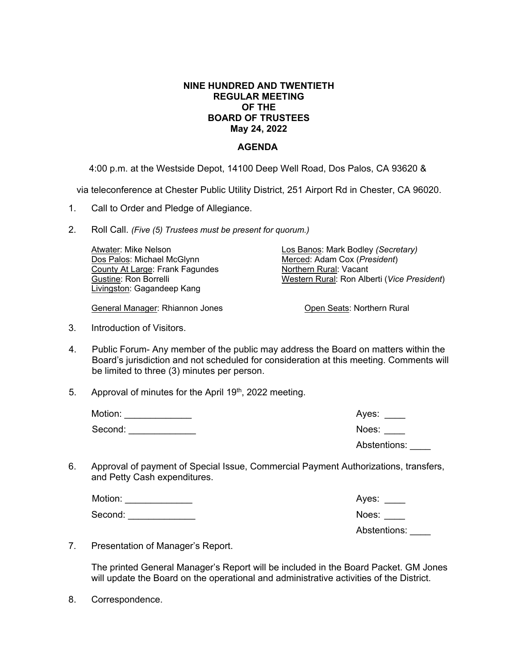## **NINE HUNDRED AND TWENTIETH REGULAR MEETING OF THE BOARD OF TRUSTEES May 24, 2022**

## **AGENDA**

4:00 p.m. at the Westside Depot, 14100 Deep Well Road, Dos Palos, CA 93620 &

via teleconference at Chester Public Utility District, 251 Airport Rd in Chester, CA 96020.

- 1. Call to Order and Pledge of Allegiance.
- 2. Roll Call. *(Five (5) Trustees must be present for quorum.)*

| Atwater: Mike Nelson            | Los Banos: Mark Bodley (Secretary)          |
|---------------------------------|---------------------------------------------|
| Dos Palos: Michael McGlynn      | Merced: Adam Cox (President)                |
| County At Large: Frank Fagundes | Northern Rural: Vacant                      |
| Gustine: Ron Borrelli           | Western Rural: Ron Alberti (Vice President) |
| Livingston: Gagandeep Kang      |                                             |

General Manager: Rhiannon Jones

3. Introduction of Visitors.

- 4. Public Forum- Any member of the public may address the Board on matters within the Board's jurisdiction and not scheduled for consideration at this meeting. Comments will be limited to three (3) minutes per person.
- 5. Approval of minutes for the April 19<sup>th</sup>, 2022 meeting.

| Motion: | Ayes:        |
|---------|--------------|
| Second: | Noes:        |
|         | Abstentions: |

6. Approval of payment of Special Issue, Commercial Payment Authorizations, transfers, and Petty Cash expenditures.

| Motion: | Aves: |
|---------|-------|
| Second: | Noes: |

Abstentions: \_\_\_\_

Open Seats: Northern Rural

7. Presentation of Manager's Report.

The printed General Manager's Report will be included in the Board Packet. GM Jones will update the Board on the operational and administrative activities of the District.

8. Correspondence.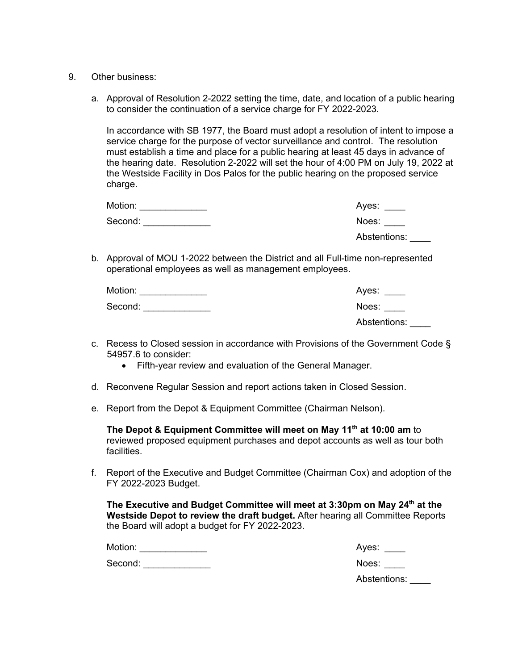- 9. Other business:
	- a. Approval of Resolution 2-2022 setting the time, date, and location of a public hearing to consider the continuation of a service charge for FY 2022-2023.

In accordance with SB 1977, the Board must adopt a resolution of intent to impose a service charge for the purpose of vector surveillance and control. The resolution must establish a time and place for a public hearing at least 45 days in advance of the hearing date. Resolution 2-2022 will set the hour of 4:00 PM on July 19, 2022 at the Westside Facility in Dos Palos for the public hearing on the proposed service charge.

| Motion: | Ayes:        |
|---------|--------------|
| Second: | Noes:        |
|         | Abstentions: |

b. Approval of MOU 1-2022 between the District and all Full-time non-represented operational employees as well as management employees.

| Motion: | Ayes:        |
|---------|--------------|
| Second: | Noes:        |
|         | Abstentions: |

- c. Recess to Closed session in accordance with Provisions of the Government Code § 54957.6 to consider:
	- Fifth-year review and evaluation of the General Manager.
- d. Reconvene Regular Session and report actions taken in Closed Session.
- e. Report from the Depot & Equipment Committee (Chairman Nelson).

**The Depot & Equipment Committee will meet on May 11th at 10:00 am** to reviewed proposed equipment purchases and depot accounts as well as tour both facilities.

f. Report of the Executive and Budget Committee (Chairman Cox) and adoption of the FY 2022-2023 Budget.

**The Executive and Budget Committee will meet at 3:30pm on May 24th at the Westside Depot to review the draft budget.** After hearing all Committee Reports the Board will adopt a budget for FY 2022-2023.

Motion: \_\_\_\_\_\_\_\_\_\_\_\_\_ Ayes: \_\_\_\_

Second: \_\_\_\_\_\_\_\_\_\_\_\_\_ Noes: \_\_\_\_

Abstentions: \_\_\_\_\_